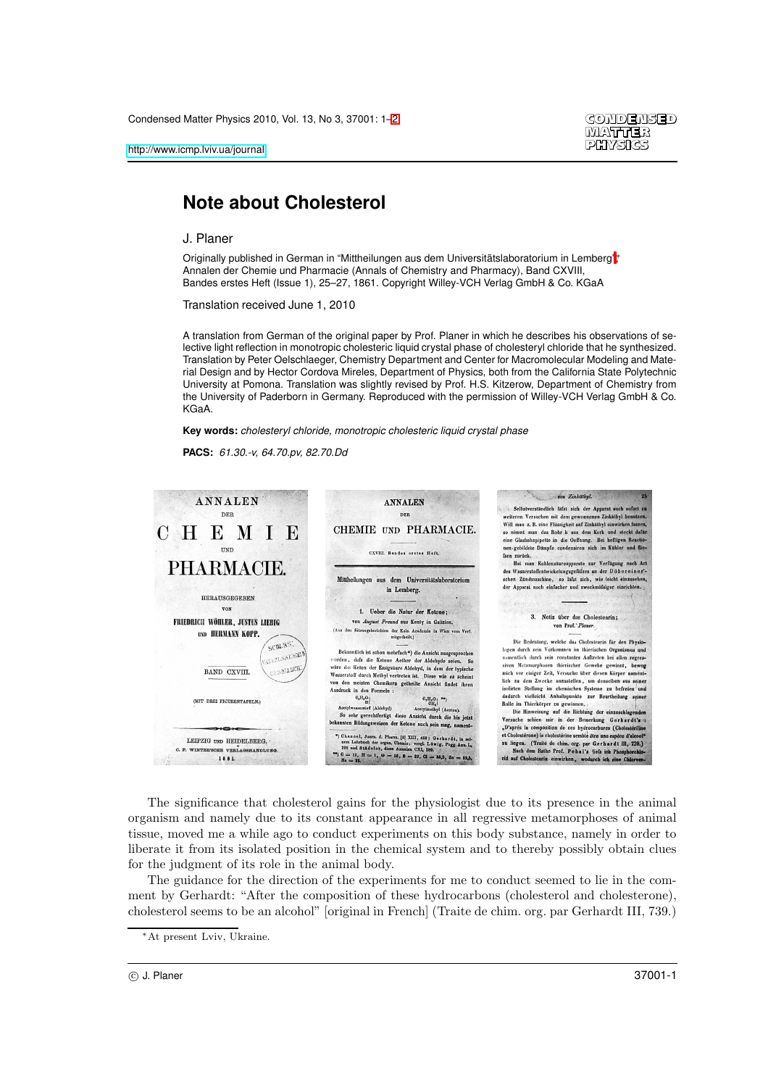

## **Note about Cholesterol**

J. Planer

Originally published in German in "Mittheilungen aus dem Universitätslaboratorium in Lemberg";\* Annalen der Chemie und Pharmacie (Annals of Chemistry and Pharmacy), Band CXVIII, Bandes erstes Heft (Issue 1), 25–27, 1861. Copyright Willey-VCH Verlag GmbH & Co. KGaA

Translation received June 1, 2010

A translation from German of the original paper by Prof. Planer in which he describes his observations of selective light reflection in monotropic cholesteric liquid crystal phase of cholesteryl chloride that he synthesized. Translation by Peter Oelschlaeger, Chemistry Department and Center for Macromolecular Modeling and Material Design and by Hector Cordova Mireles, Department of Physics, both from the California State Polytechnic University at Pomona. Translation was slightly revised by Prof. H.S. Kitzerow, Department of Chemistry from the University of Paderborn in Germany. Reproduced with the permission of Willey-VCH Verlag GmbH & Co. KGaA.

**Key words:** cholesteryl chloride, monotropic cholesteric liquid crystal phase

**PACS:** 61.30.-v, 64.70.pv, 82.70.Dd



The significance that cholesterol gains for the physiologist due to its presence in the animal organism and namely due to its constant appearance in all regressive metamorphoses of animal tissue, moved me a while ago to conduct experiments on this body substance, namely in order to liberate it from its isolated position in the chemical system and to thereby possibly obtain clues for the judgment of its role in the animal body.

The guidance for the direction of the experiments for me to conduct seemed to lie in the comment by Gerhardt: "After the composition of these hydrocarbons (cholesterol and cholesterone), cholesterol seems to be an alcohol" [original in French] (Traite de chim. org. par Gerhardt III, 739.)

 $\odot$  J. Planer 37001-1

<sup>∗</sup>At present Lviv, Ukraine.